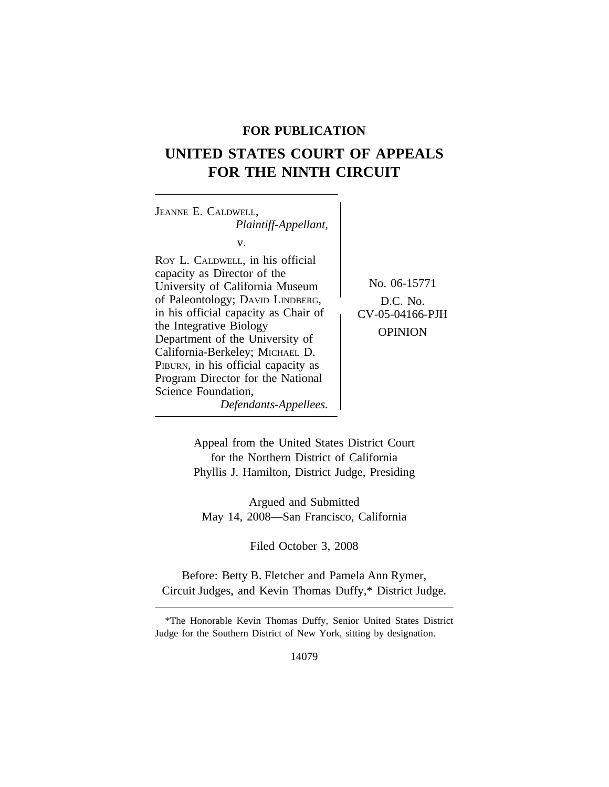## **FOR PUBLICATION**

# **UNITED STATES COURT OF APPEALS FOR THE NINTH CIRCUIT**

<sup>J</sup>EANNE E. CALDWELL, *Plaintiff-Appellant,* v. ROY L. CALDWELL, in his official capacity as Director of the University of California Museum No. 06-15771 of Paleontology; DAVID LINDBERG,  $\bigcup$  D.C. No. in his official capacity as Chair of CV-05-04166-PJH the Integrative Biology<br>Department of the University of OPINION California-Berkeley; MICHAEL D. PIBURN, in his official capacity as Program Director for the National Science Foundation, *Defendants-Appellees.*

Appeal from the United States District Court for the Northern District of California Phyllis J. Hamilton, District Judge, Presiding

Argued and Submitted May 14, 2008—San Francisco, California

Filed October 3, 2008

Before: Betty B. Fletcher and Pamela Ann Rymer, Circuit Judges, and Kevin Thomas Duffy,\* District Judge.

\*The Honorable Kevin Thomas Duffy, Senior United States District Judge for the Southern District of New York, sitting by designation.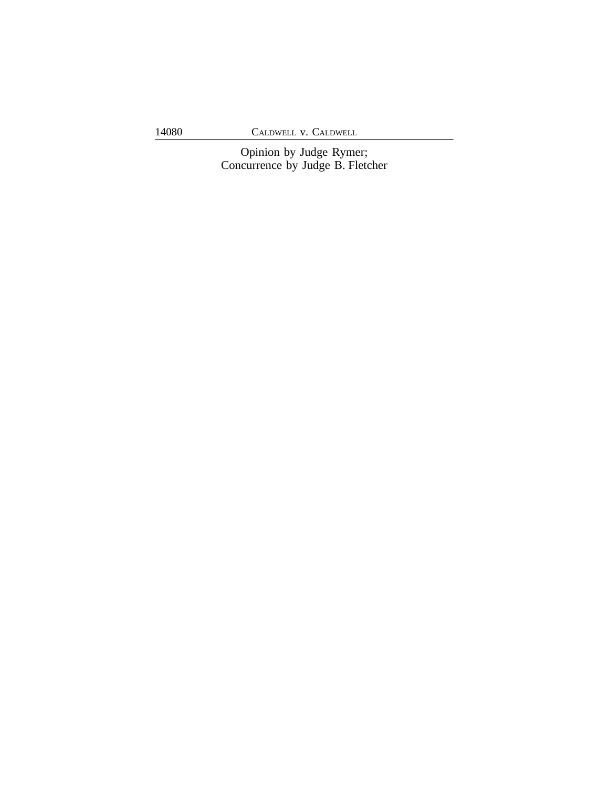14080 CALDWELL v. CALDWELL

Opinion by Judge Rymer; Concurrence by Judge B. Fletcher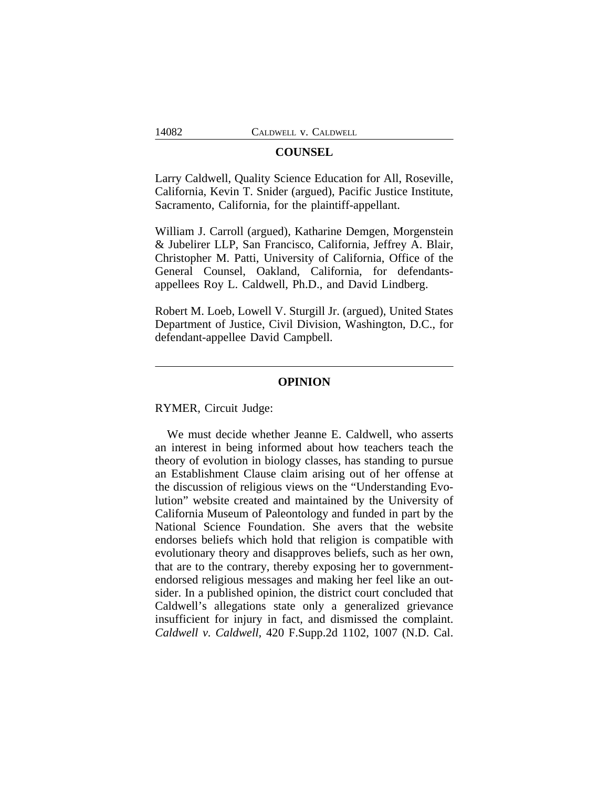## **COUNSEL**

Larry Caldwell, Quality Science Education for All, Roseville, California, Kevin T. Snider (argued), Pacific Justice Institute, Sacramento, California, for the plaintiff-appellant.

William J. Carroll (argued), Katharine Demgen, Morgenstein & Jubelirer LLP, San Francisco, California, Jeffrey A. Blair, Christopher M. Patti, University of California, Office of the General Counsel, Oakland, California, for defendantsappellees Roy L. Caldwell, Ph.D., and David Lindberg.

Robert M. Loeb, Lowell V. Sturgill Jr. (argued), United States Department of Justice, Civil Division, Washington, D.C., for defendant-appellee David Campbell.

#### **OPINION**

RYMER, Circuit Judge:

We must decide whether Jeanne E. Caldwell, who asserts an interest in being informed about how teachers teach the theory of evolution in biology classes, has standing to pursue an Establishment Clause claim arising out of her offense at the discussion of religious views on the "Understanding Evolution" website created and maintained by the University of California Museum of Paleontology and funded in part by the National Science Foundation. She avers that the website endorses beliefs which hold that religion is compatible with evolutionary theory and disapproves beliefs, such as her own, that are to the contrary, thereby exposing her to governmentendorsed religious messages and making her feel like an outsider. In a published opinion, the district court concluded that Caldwell's allegations state only a generalized grievance insufficient for injury in fact, and dismissed the complaint. *Caldwell v. Caldwell,* 420 F.Supp.2d 1102, 1007 (N.D. Cal.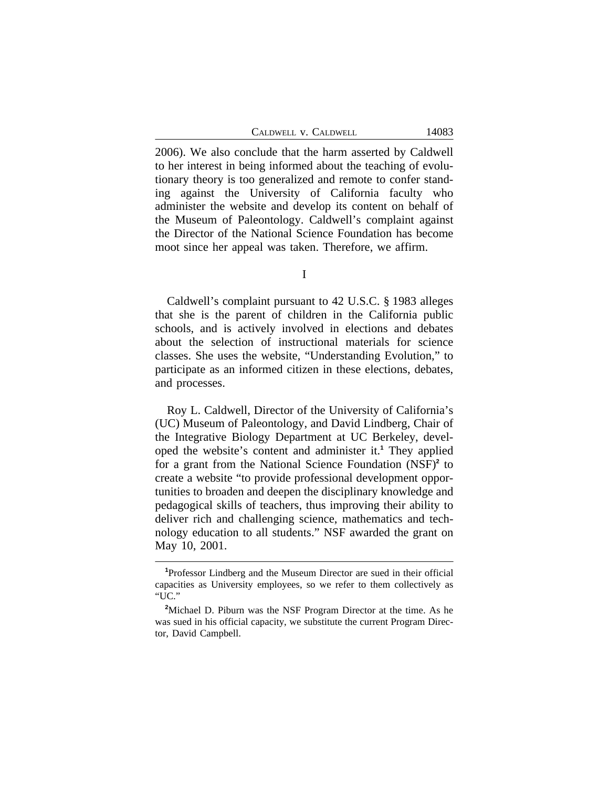CALDWELL V. CALDWELL 14083

2006). We also conclude that the harm asserted by Caldwell to her interest in being informed about the teaching of evolutionary theory is too generalized and remote to confer standing against the University of California faculty who administer the website and develop its content on behalf of the Museum of Paleontology. Caldwell's complaint against the Director of the National Science Foundation has become moot since her appeal was taken. Therefore, we affirm.

I

Caldwell's complaint pursuant to 42 U.S.C. § 1983 alleges that she is the parent of children in the California public schools, and is actively involved in elections and debates about the selection of instructional materials for science classes. She uses the website, "Understanding Evolution," to participate as an informed citizen in these elections, debates, and processes.

Roy L. Caldwell, Director of the University of California's (UC) Museum of Paleontology, and David Lindberg, Chair of the Integrative Biology Department at UC Berkeley, developed the website's content and administer it.**<sup>1</sup>** They applied for a grant from the National Science Foundation (NSF)**<sup>2</sup>** to create a website "to provide professional development opportunities to broaden and deepen the disciplinary knowledge and pedagogical skills of teachers, thus improving their ability to deliver rich and challenging science, mathematics and technology education to all students." NSF awarded the grant on May 10, 2001.

**<sup>1</sup>**Professor Lindberg and the Museum Director are sued in their official capacities as University employees, so we refer to them collectively as "UC."

**<sup>2</sup>**Michael D. Piburn was the NSF Program Director at the time. As he was sued in his official capacity, we substitute the current Program Director, David Campbell.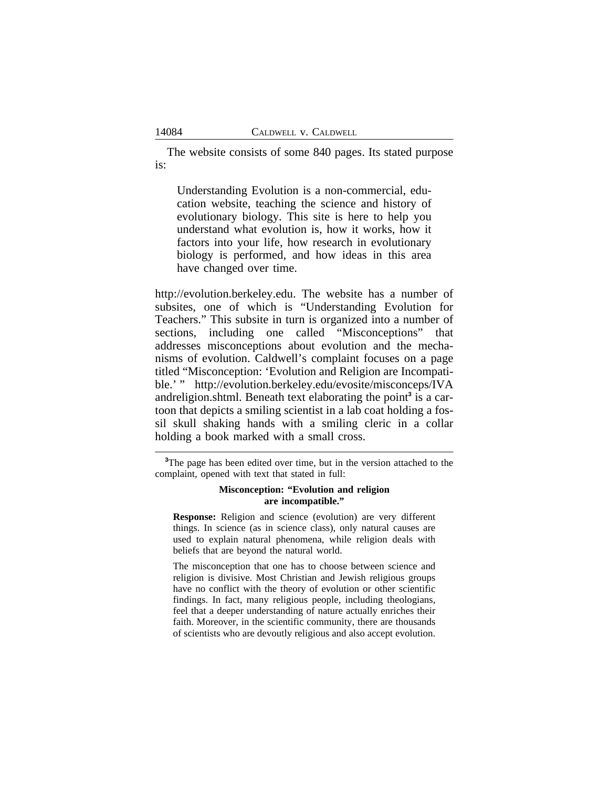The website consists of some 840 pages. Its stated purpose is:

Understanding Evolution is a non-commercial, education website, teaching the science and history of evolutionary biology. This site is here to help you understand what evolution is, how it works, how it factors into your life, how research in evolutionary biology is performed, and how ideas in this area have changed over time.

http://evolution.berkeley.edu. The website has a number of subsites, one of which is "Understanding Evolution for Teachers." This subsite in turn is organized into a number of sections, including one called "Misconceptions" that addresses misconceptions about evolution and the mechanisms of evolution. Caldwell's complaint focuses on a page titled "Misconception: 'Evolution and Religion are Incompatible.' " http://evolution.berkeley.edu/evosite/misconceps/IVA andreligion.shtml. Beneath text elaborating the point<sup>3</sup> is a cartoon that depicts a smiling scientist in a lab coat holding a fossil skull shaking hands with a smiling cleric in a collar holding a book marked with a small cross.

#### **Misconception: "Evolution and religion are incompatible."**

**Response:** Religion and science (evolution) are very different things. In science (as in science class), only natural causes are used to explain natural phenomena, while religion deals with beliefs that are beyond the natural world.

The misconception that one has to choose between science and religion is divisive. Most Christian and Jewish religious groups have no conflict with the theory of evolution or other scientific findings. In fact, many religious people, including theologians, feel that a deeper understanding of nature actually enriches their faith. Moreover, in the scientific community, there are thousands of scientists who are devoutly religious and also accept evolution.

<sup>&</sup>lt;sup>3</sup>The page has been edited over time, but in the version attached to the complaint, opened with text that stated in full: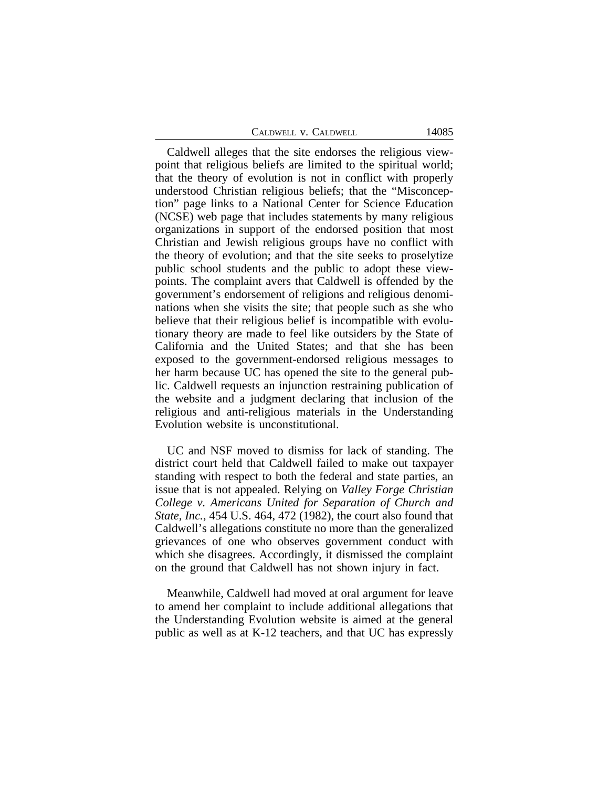|  | CALDWELL V. CALDWELL |  |
|--|----------------------|--|
|  |                      |  |

Caldwell alleges that the site endorses the religious viewpoint that religious beliefs are limited to the spiritual world; that the theory of evolution is not in conflict with properly understood Christian religious beliefs; that the "Misconception" page links to a National Center for Science Education (NCSE) web page that includes statements by many religious organizations in support of the endorsed position that most Christian and Jewish religious groups have no conflict with the theory of evolution; and that the site seeks to proselytize public school students and the public to adopt these viewpoints. The complaint avers that Caldwell is offended by the government's endorsement of religions and religious denominations when she visits the site; that people such as she who believe that their religious belief is incompatible with evolutionary theory are made to feel like outsiders by the State of California and the United States; and that she has been exposed to the government-endorsed religious messages to her harm because UC has opened the site to the general public. Caldwell requests an injunction restraining publication of the website and a judgment declaring that inclusion of the religious and anti-religious materials in the Understanding Evolution website is unconstitutional.

UC and NSF moved to dismiss for lack of standing. The district court held that Caldwell failed to make out taxpayer standing with respect to both the federal and state parties, an issue that is not appealed. Relying on *Valley Forge Christian College v. Americans United for Separation of Church and State, Inc.*, 454 U.S. 464, 472 (1982), the court also found that Caldwell's allegations constitute no more than the generalized grievances of one who observes government conduct with which she disagrees. Accordingly, it dismissed the complaint on the ground that Caldwell has not shown injury in fact.

Meanwhile, Caldwell had moved at oral argument for leave to amend her complaint to include additional allegations that the Understanding Evolution website is aimed at the general public as well as at K-12 teachers, and that UC has expressly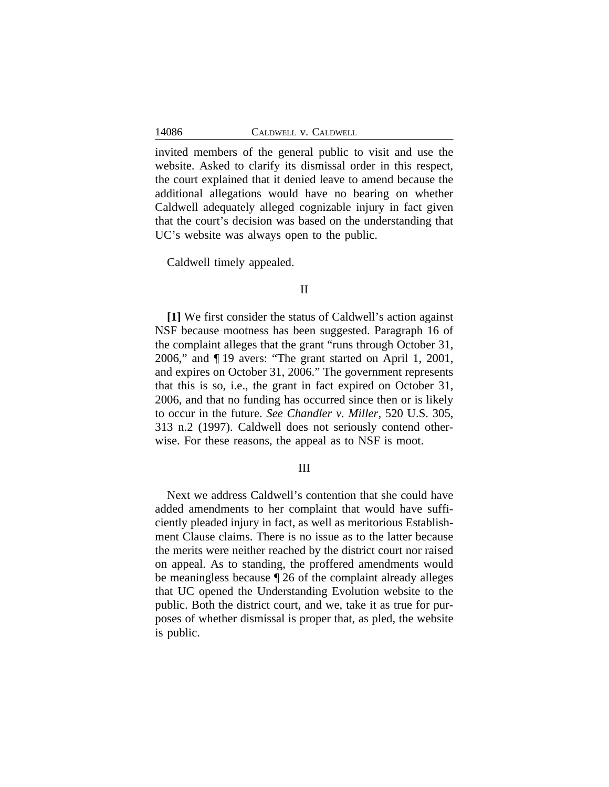invited members of the general public to visit and use the website. Asked to clarify its dismissal order in this respect, the court explained that it denied leave to amend because the additional allegations would have no bearing on whether Caldwell adequately alleged cognizable injury in fact given that the court's decision was based on the understanding that UC's website was always open to the public.

Caldwell timely appealed.

### II

**[1]** We first consider the status of Caldwell's action against NSF because mootness has been suggested. Paragraph 16 of the complaint alleges that the grant "runs through October 31, 2006," and ¶ 19 avers: "The grant started on April 1, 2001, and expires on October 31, 2006." The government represents that this is so, i.e., the grant in fact expired on October 31, 2006, and that no funding has occurred since then or is likely to occur in the future. *See Chandler v. Miller*, 520 U.S. 305, 313 n.2 (1997). Caldwell does not seriously contend otherwise. For these reasons, the appeal as to NSF is moot.

#### III

Next we address Caldwell's contention that she could have added amendments to her complaint that would have sufficiently pleaded injury in fact, as well as meritorious Establishment Clause claims. There is no issue as to the latter because the merits were neither reached by the district court nor raised on appeal. As to standing, the proffered amendments would be meaningless because ¶ 26 of the complaint already alleges that UC opened the Understanding Evolution website to the public. Both the district court, and we, take it as true for purposes of whether dismissal is proper that, as pled, the website is public.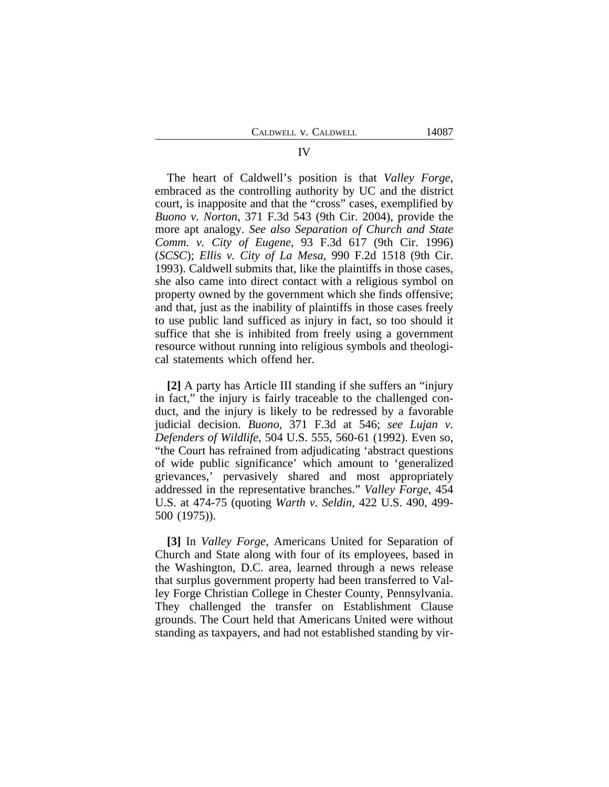The heart of Caldwell's position is that *Valley Forge*, embraced as the controlling authority by UC and the district court, is inapposite and that the "cross" cases, exemplified by *Buono v. Norton*, 371 F.3d 543 (9th Cir. 2004), provide the more apt analogy. *See also Separation of Church and State Comm. v. City of Eugene*, 93 F.3d 617 (9th Cir. 1996) (*SCSC*); *Ellis v. City of La Mesa*, 990 F.2d 1518 (9th Cir. 1993). Caldwell submits that, like the plaintiffs in those cases, she also came into direct contact with a religious symbol on property owned by the government which she finds offensive; and that, just as the inability of plaintiffs in those cases freely to use public land sufficed as injury in fact, so too should it suffice that she is inhibited from freely using a government resource without running into religious symbols and theological statements which offend her.

**[2]** A party has Article III standing if she suffers an "injury in fact," the injury is fairly traceable to the challenged conduct, and the injury is likely to be redressed by a favorable judicial decision. *Buono*, 371 F.3d at 546; *see Lujan v. Defenders of Wildlife*, 504 U.S. 555, 560-61 (1992). Even so, "the Court has refrained from adjudicating 'abstract questions of wide public significance' which amount to 'generalized grievances,' pervasively shared and most appropriately addressed in the representative branches." *Valley Forge*, 454 U.S. at 474-75 (quoting *Warth v. Seldin*, 422 U.S. 490, 499- 500 (1975)).

**[3]** In *Valley Forge*, Americans United for Separation of Church and State along with four of its employees, based in the Washington, D.C. area, learned through a news release that surplus government property had been transferred to Valley Forge Christian College in Chester County, Pennsylvania. They challenged the transfer on Establishment Clause grounds. The Court held that Americans United were without standing as taxpayers, and had not established standing by vir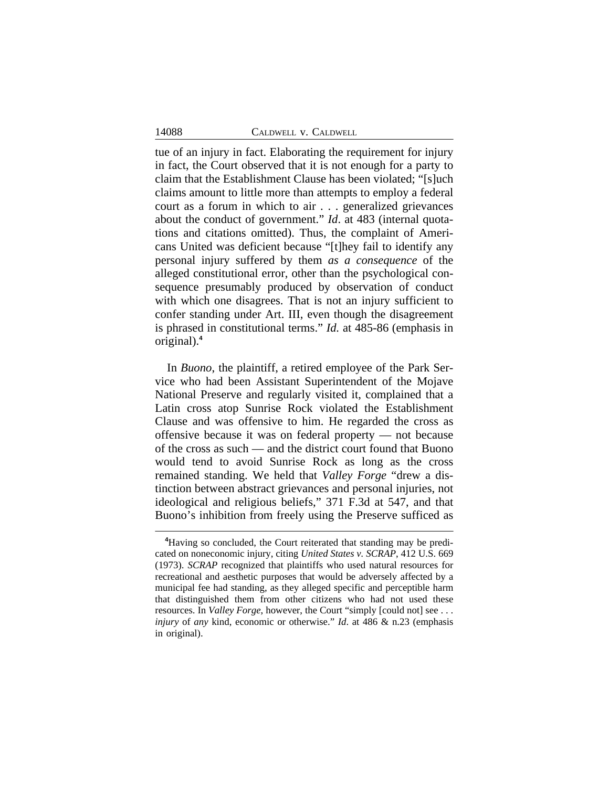tue of an injury in fact. Elaborating the requirement for injury in fact, the Court observed that it is not enough for a party to claim that the Establishment Clause has been violated; "[s]uch claims amount to little more than attempts to employ a federal court as a forum in which to air . . . generalized grievances about the conduct of government." *Id*. at 483 (internal quotations and citations omitted). Thus, the complaint of Americans United was deficient because "[t]hey fail to identify any personal injury suffered by them *as a consequence* of the alleged constitutional error, other than the psychological consequence presumably produced by observation of conduct with which one disagrees. That is not an injury sufficient to confer standing under Art. III, even though the disagreement is phrased in constitutional terms." *Id.* at 485-86 (emphasis in original).**<sup>4</sup>**

In *Buono*, the plaintiff, a retired employee of the Park Service who had been Assistant Superintendent of the Mojave National Preserve and regularly visited it, complained that a Latin cross atop Sunrise Rock violated the Establishment Clause and was offensive to him. He regarded the cross as offensive because it was on federal property — not because of the cross as such — and the district court found that Buono would tend to avoid Sunrise Rock as long as the cross remained standing. We held that *Valley Forge* "drew a distinction between abstract grievances and personal injuries, not ideological and religious beliefs," 371 F.3d at 547, and that Buono's inhibition from freely using the Preserve sufficed as

**<sup>4</sup>**Having so concluded, the Court reiterated that standing may be predicated on noneconomic injury, citing *United States v. SCRAP*, 412 U.S. 669 (1973). *SCRAP* recognized that plaintiffs who used natural resources for recreational and aesthetic purposes that would be adversely affected by a municipal fee had standing, as they alleged specific and perceptible harm that distinguished them from other citizens who had not used these resources. In *Valley Forge*, however, the Court "simply [could not] see . . . *injury* of *any* kind, economic or otherwise." *Id*. at 486 & n.23 (emphasis in original).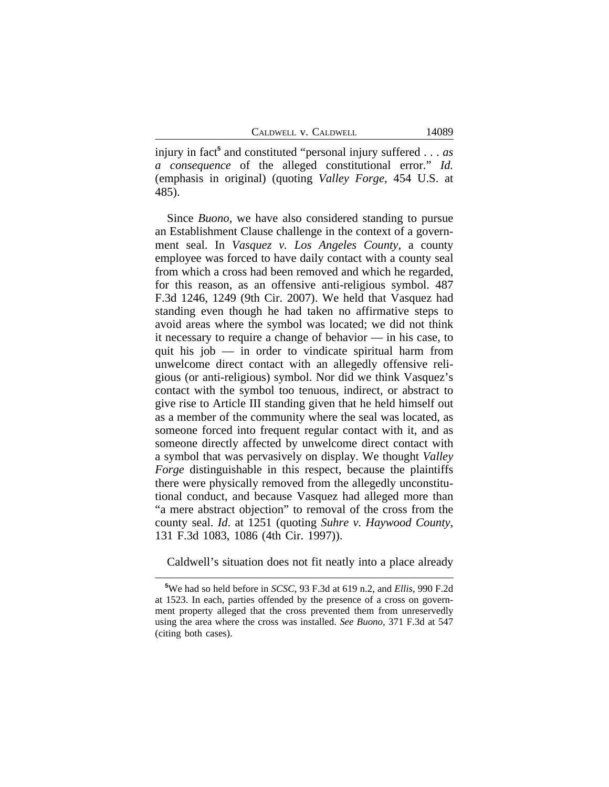CALDWELL V. CALDWELL 14089

injury in fact**<sup>5</sup>** and constituted "personal injury suffered . . . *as a consequence* of the alleged constitutional error." *Id.* (emphasis in original) (quoting *Valley Forge*, 454 U.S. at 485).

Since *Buono*, we have also considered standing to pursue an Establishment Clause challenge in the context of a government seal. In *Vasquez v. Los Angeles County*, a county employee was forced to have daily contact with a county seal from which a cross had been removed and which he regarded, for this reason, as an offensive anti-religious symbol. 487 F.3d 1246, 1249 (9th Cir. 2007). We held that Vasquez had standing even though he had taken no affirmative steps to avoid areas where the symbol was located; we did not think it necessary to require a change of behavior — in his case, to quit his job  $-$  in order to vindicate spiritual harm from unwelcome direct contact with an allegedly offensive religious (or anti-religious) symbol. Nor did we think Vasquez's contact with the symbol too tenuous, indirect, or abstract to give rise to Article III standing given that he held himself out as a member of the community where the seal was located, as someone forced into frequent regular contact with it, and as someone directly affected by unwelcome direct contact with a symbol that was pervasively on display. We thought *Valley Forge* distinguishable in this respect, because the plaintiffs there were physically removed from the allegedly unconstitutional conduct, and because Vasquez had alleged more than "a mere abstract objection" to removal of the cross from the county seal. *Id*. at 1251 (quoting *Suhre v. Haywood County*, 131 F.3d 1083, 1086 (4th Cir. 1997)).

Caldwell's situation does not fit neatly into a place already

**<sup>5</sup>**We had so held before in *SCSC*, 93 F.3d at 619 n.2, and *Ellis*, 990 F.2d at 1523. In each, parties offended by the presence of a cross on government property alleged that the cross prevented them from unreservedly using the area where the cross was installed. *See Buono*, 371 F.3d at 547 (citing both cases).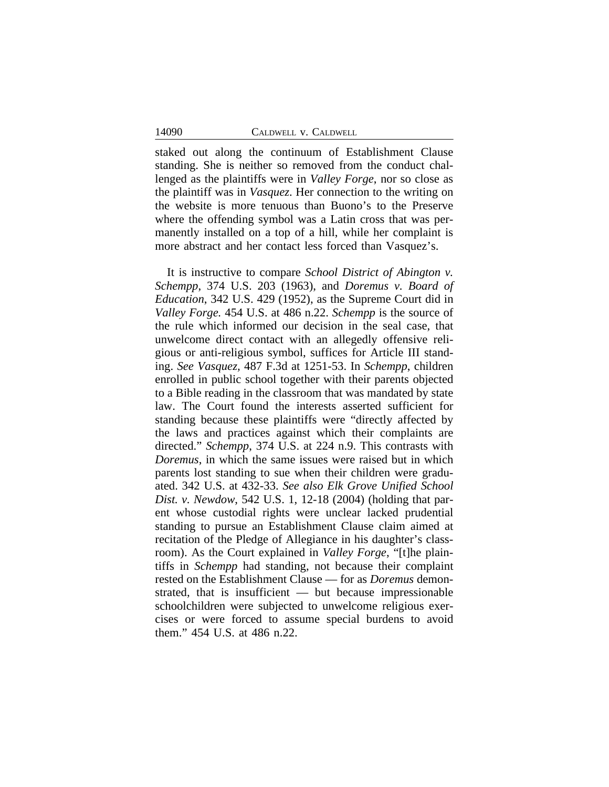staked out along the continuum of Establishment Clause standing. She is neither so removed from the conduct challenged as the plaintiffs were in *Valley Forge*, nor so close as the plaintiff was in *Vasquez*. Her connection to the writing on the website is more tenuous than Buono's to the Preserve where the offending symbol was a Latin cross that was permanently installed on a top of a hill, while her complaint is more abstract and her contact less forced than Vasquez's.

It is instructive to compare *School District of Abington v. Schempp*, 374 U.S. 203 (1963), and *Doremus v. Board of Education*, 342 U.S. 429 (1952), as the Supreme Court did in *Valley Forge.* 454 U.S. at 486 n.22. *Schempp* is the source of the rule which informed our decision in the seal case, that unwelcome direct contact with an allegedly offensive religious or anti-religious symbol, suffices for Article III standing. *See Vasquez,* 487 F.3d at 1251-53. In *Schempp*, children enrolled in public school together with their parents objected to a Bible reading in the classroom that was mandated by state law. The Court found the interests asserted sufficient for standing because these plaintiffs were "directly affected by the laws and practices against which their complaints are directed." *Schempp*, 374 U.S. at 224 n.9. This contrasts with *Doremus*, in which the same issues were raised but in which parents lost standing to sue when their children were graduated. 342 U.S. at 432-33. *See also Elk Grove Unified School Dist. v. Newdow*, 542 U.S. 1, 12-18 (2004) (holding that parent whose custodial rights were unclear lacked prudential standing to pursue an Establishment Clause claim aimed at recitation of the Pledge of Allegiance in his daughter's classroom). As the Court explained in *Valley Forge*, "[t]he plaintiffs in *Schempp* had standing, not because their complaint rested on the Establishment Clause — for as *Doremus* demonstrated, that is insufficient — but because impressionable schoolchildren were subjected to unwelcome religious exercises or were forced to assume special burdens to avoid them." 454 U.S. at 486 n.22.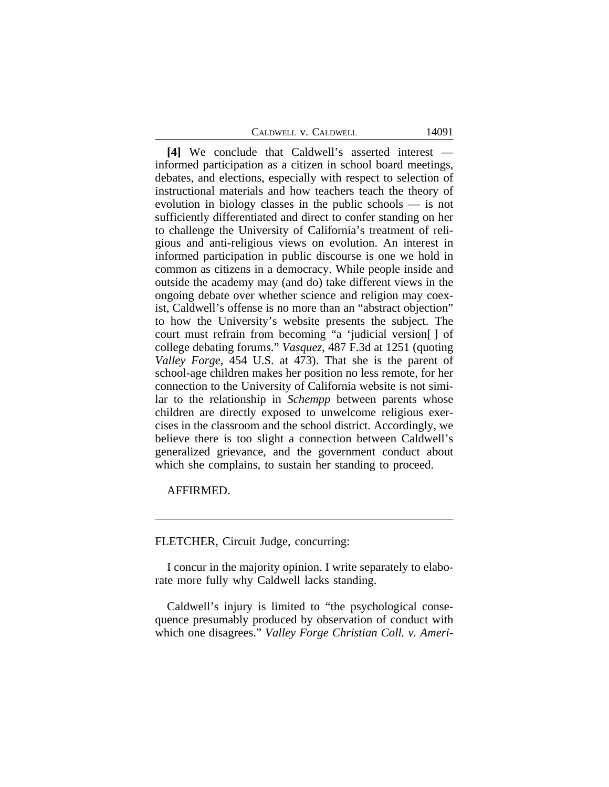|  | Caldwell v. Caldwell |  |
|--|----------------------|--|
|  |                      |  |

**[4]** We conclude that Caldwell's asserted interest informed participation as a citizen in school board meetings, debates, and elections, especially with respect to selection of instructional materials and how teachers teach the theory of evolution in biology classes in the public schools — is not sufficiently differentiated and direct to confer standing on her to challenge the University of California's treatment of religious and anti-religious views on evolution. An interest in informed participation in public discourse is one we hold in common as citizens in a democracy. While people inside and outside the academy may (and do) take different views in the ongoing debate over whether science and religion may coexist, Caldwell's offense is no more than an "abstract objection" to how the University's website presents the subject. The court must refrain from becoming "a 'judicial version[ ] of college debating forums." *Vasquez*, 487 F.3d at 1251 (quoting *Valley Forge*, 454 U.S. at 473). That she is the parent of school-age children makes her position no less remote, for her connection to the University of California website is not similar to the relationship in *Schempp* between parents whose children are directly exposed to unwelcome religious exercises in the classroom and the school district. Accordingly, we believe there is too slight a connection between Caldwell's generalized grievance, and the government conduct about which she complains, to sustain her standing to proceed.

AFFIRMED.

FLETCHER, Circuit Judge, concurring:

I concur in the majority opinion. I write separately to elaborate more fully why Caldwell lacks standing.

Caldwell's injury is limited to "the psychological consequence presumably produced by observation of conduct with which one disagrees." *Valley Forge Christian Coll. v. Ameri-*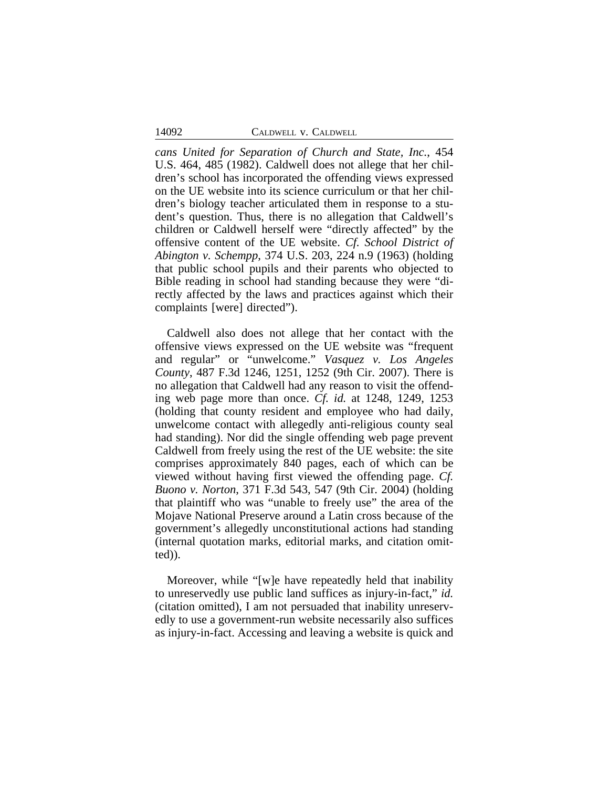*cans United for Separation of Church and State, Inc.*, 454 U.S. 464, 485 (1982). Caldwell does not allege that her children's school has incorporated the offending views expressed on the UE website into its science curriculum or that her children's biology teacher articulated them in response to a student's question. Thus, there is no allegation that Caldwell's children or Caldwell herself were "directly affected" by the offensive content of the UE website. *Cf. School District of Abington v. Schempp*, 374 U.S. 203, 224 n.9 (1963) (holding that public school pupils and their parents who objected to Bible reading in school had standing because they were "directly affected by the laws and practices against which their complaints [were] directed").

Caldwell also does not allege that her contact with the offensive views expressed on the UE website was "frequent and regular" or "unwelcome." *Vasquez v. Los Angeles County*, 487 F.3d 1246, 1251, 1252 (9th Cir. 2007). There is no allegation that Caldwell had any reason to visit the offending web page more than once. *Cf. id.* at 1248, 1249, 1253 (holding that county resident and employee who had daily, unwelcome contact with allegedly anti-religious county seal had standing). Nor did the single offending web page prevent Caldwell from freely using the rest of the UE website: the site comprises approximately 840 pages, each of which can be viewed without having first viewed the offending page. *Cf. Buono v. Norton*, 371 F.3d 543, 547 (9th Cir. 2004) (holding that plaintiff who was "unable to freely use" the area of the Mojave National Preserve around a Latin cross because of the government's allegedly unconstitutional actions had standing (internal quotation marks, editorial marks, and citation omitted)).

Moreover, while "[w]e have repeatedly held that inability to unreservedly use public land suffices as injury-in-fact," *id.* (citation omitted), I am not persuaded that inability unreservedly to use a government-run website necessarily also suffices as injury-in-fact. Accessing and leaving a website is quick and